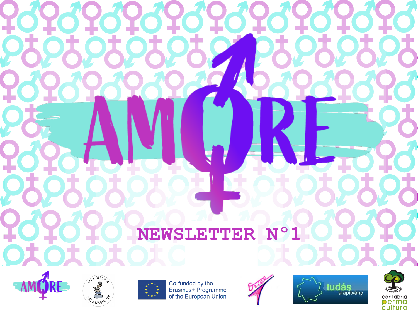## **NEWSLETTER Nº1**











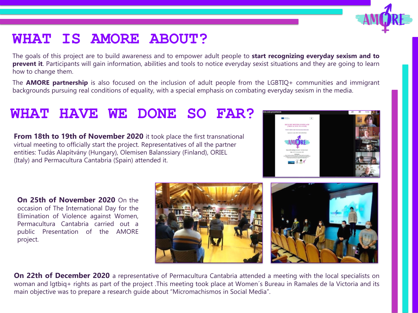## **WHAT IS AMORE ABOUT?**

The goals of this project are to build awareness and to empower adult people to **start recognizing everyday sexism and to prevent it**. Participants will gain information, abilities and tools to notice everyday sexist situations and they are going to learn how to change them.

The **AMORE partnership** is also focused on the inclusion of adult people from the LGBTIQ+ communities and immigrant backgrounds pursuing real conditions of equality, with a special emphasis on combating everyday sexism in the media.

## **WHAT HAVE WE DONE SO FAR?**

**From 18th to 19th of November 2020** it took place the first transnational virtual meeting to officially start the project. Representatives of all the partner entities: Tudás Alapítvány (Hungary), Olemisen Balanssiary (Finland), ORIEL (Italy) and Permacultura Cantabria (Spain) attended it.

**On 25th of November 2020** On the occasion of The International Day for the Elimination of Violence against Women, Permacultura Cantabria carried out a public Presentation of the AMORE project.





**On 22th of December 2020** a representative of Permacultura Cantabria attended a meeting with the local specialists on woman and lgtbiq+ rights as part of the project .This meeting took place at Women´s Bureau in Ramales de la Victoria and its main objective was to prepare a research guide about "Micromachismos in Social Media".